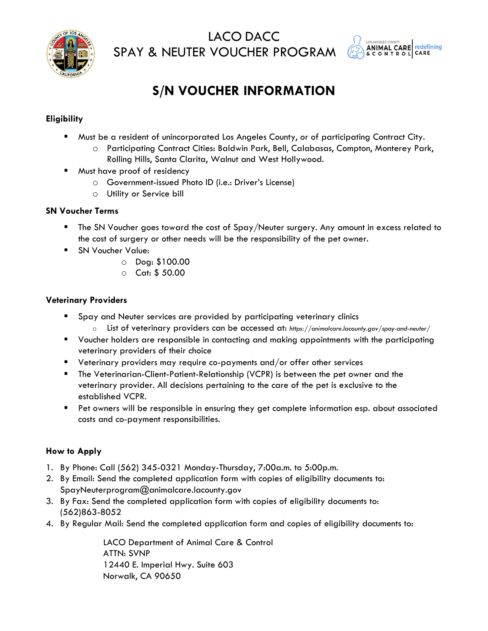

LACO DACC SPAY & NEUTER VOUCHER PROGRAM



## **S/N VOUCHER INFORMATION**

## **Eligibility**

- Must be a resident of unincorporated Los Angeles County, or of participating Contract City.
	- o Participating Contract Cities: Baldwin Park, Bell, Calabasas, Compton, Monterey Park, Rolling Hills, Santa Clarita, Walnut and West Hollywood.
- Must have proof of residency
	- o Government-issued Photo ID (i.e.: Driver's License)
	- o Utility or Service bill

#### **SN Voucher Terms**

- The SN Voucher goes toward the cost of Spay/Neuter surgery. Any amount in excess related to the cost of surgery or other needs will be the responsibility of the pet owner.
- SN Voucher Value:
	- o Dog: \$100.00
	- o Cat: \$ 50.00

#### **Veterinary Providers**

- Spay and Neuter services are provided by participating veterinary clinics
	- o List of veterinary providers can be accessed at: *[https://animalcare.lacounty.gov/spay-and-neuter/](https://animalcare.lacounty.gov/wp-content/uploads/2021/12/SNV-Provider-List_Dec-2021.pdf)*
- Voucher holders are responsible in contacting and making appointments with the participating veterinary providers of their choice
- Veterinary providers may require co-payments and/or offer other services
- The Veterinarian-Client-Patient-Relationship (VCPR) is between the pet owner and the veterinary provider. All decisions pertaining to the care of the pet is exclusive to the established VCPR.
- Pet owners will be responsible in ensuring they get complete information esp. about associated costs and co-payment responsibilities.

## **How to Apply**

- 1. By Phone: Call (562) 345-0321 Monday-Thursday, 7:00a.m. to 5:00p.m.
- 2. By Email: Send the completed application form with copies of eligibility documents to: [SpayNeuterprogram@animalcare.lacounty.gov](mailto:SpayNeuterprogram@animalcare.lacounty.gov)
- 3. By Fax: Send the completed application form with copies of eligibility documents to: (562)863-8052
- 4. By Regular Mail: Send the completed application form and copies of eligibility documents to:

LACO Department of Animal Care & Control ATTN: SVNP 12440 E. Imperial Hwy. Suite 603 Norwalk, CA 90650